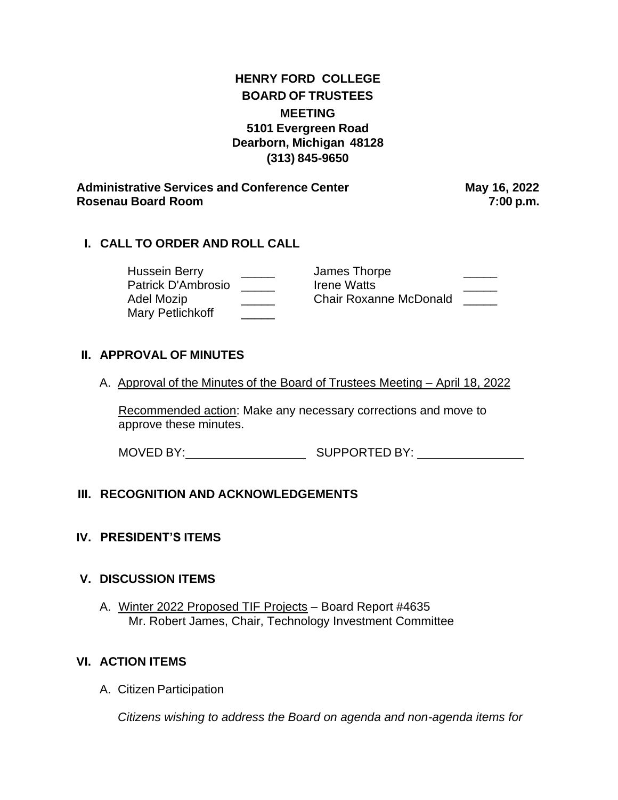| <b>HENRY FORD COLLEGE</b> |
|---------------------------|
| <b>BOARD OF TRUSTEES</b>  |
| <b>MEETING</b>            |
| 5101 Evergreen Road       |
| Dearborn, Michigan 48128  |
| (313) 845-9650            |

**Administrative Services and Conference Center May 16, 2022 Rosenau Board Room 7:00 p.m.**

## **I. CALL TO ORDER AND ROLL CALL**

Mary Petlichkoff **Warehouse** 

Hussein Berry \_\_\_\_\_\_\_ James Thorpe \_\_\_\_\_\_\_\_\_ Patrick D'Ambrosio \_\_\_\_\_ Irene Watts \_\_\_\_\_ Adel Mozip \_\_\_\_\_\_\_\_\_\_\_\_\_\_\_\_\_\_Chair Roxanne McDonald \_\_\_\_\_\_

## **II. APPROVAL OF MINUTES**

A. Approval of the Minutes of the Board of Trustees Meeting – April 18, 2022

Recommended action: Make any necessary corrections and move to approve these minutes.

MOVED BY: SUPPORTED BY:

# **III. RECOGNITION AND ACKNOWLEDGEMENTS**

### **IV. PRESIDENT'S ITEMS**

### **V. DISCUSSION ITEMS**

A. Winter 2022 Proposed TIF Projects – Board Report #4635 Mr. Robert James, Chair, Technology Investment Committee

### **VI. ACTION ITEMS**

A. Citizen Participation

*Citizens wishing to address the Board on agenda and non-agenda items for*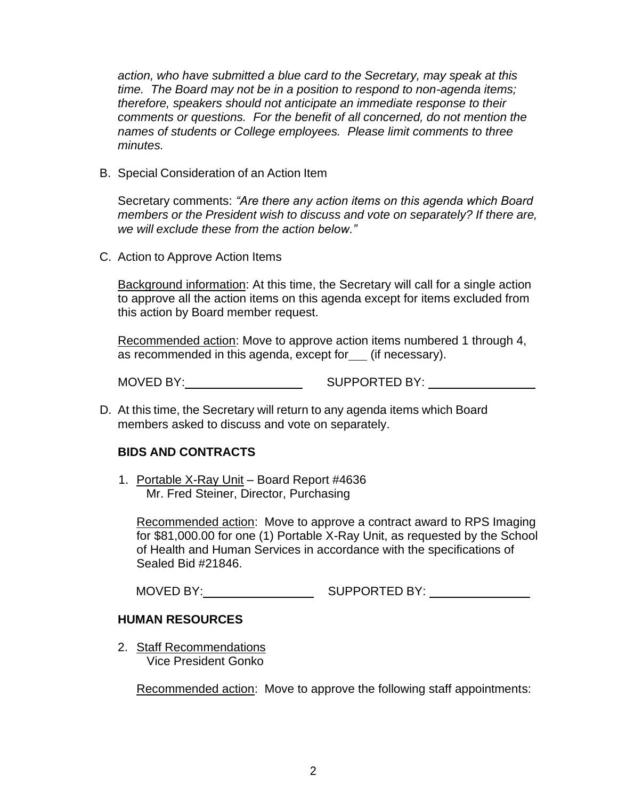*action, who have submitted a blue card to the Secretary, may speak at this time. The Board may not be in a position to respond to non-agenda items; therefore, speakers should not anticipate an immediate response to their comments or questions. For the benefit of all concerned, do not mention the names of students or College employees. Please limit comments to three minutes.*

B. Special Consideration of an Action Item

Secretary comments: *"Are there any action items on this agenda which Board members or the President wish to discuss and vote on separately? If there are, we will exclude these from the action below."*

C. Action to Approve Action Items

Background information: At this time, the Secretary will call for a single action to approve all the action items on this agenda except for items excluded from this action by Board member request.

Recommended action: Move to approve action items numbered 1 through 4, as recommended in this agenda, except for \_\_ (if necessary).

MOVED BY: SUPPORTED BY:

D. At this time, the Secretary will return to any agenda items which Board members asked to discuss and vote on separately.

### **BIDS AND CONTRACTS**

1. Portable X-Ray Unit – Board Report #4636 Mr. Fred Steiner, Director, Purchasing

Recommended action: Move to approve a contract award to RPS Imaging for \$81,000.00 for one (1) Portable X-Ray Unit, as requested by the School of Health and Human Services in accordance with the specifications of Sealed Bid #21846.

MOVED BY: SUPPORTED BY:

#### **HUMAN RESOURCES**

2. Staff Recommendations Vice President Gonko

Recommended action: Move to approve the following staff appointments: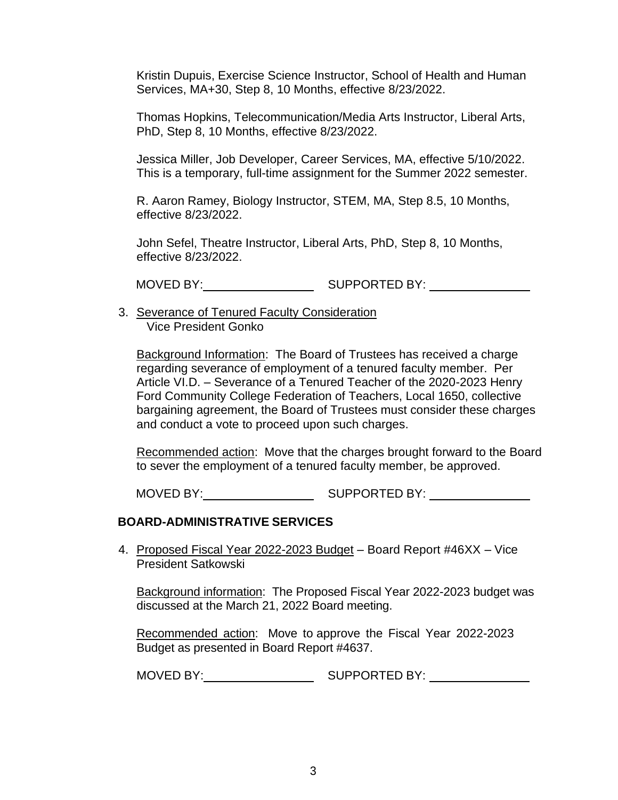Kristin Dupuis, Exercise Science Instructor, School of Health and Human Services, MA+30, Step 8, 10 Months, effective 8/23/2022.

Thomas Hopkins, Telecommunication/Media Arts Instructor, Liberal Arts, PhD, Step 8, 10 Months, effective 8/23/2022.

Jessica Miller, Job Developer, Career Services, MA, effective 5/10/2022. This is a temporary, full-time assignment for the Summer 2022 semester.

R. Aaron Ramey, Biology Instructor, STEM, MA, Step 8.5, 10 Months, effective 8/23/2022.

John Sefel, Theatre Instructor, Liberal Arts, PhD, Step 8, 10 Months, effective 8/23/2022.

MOVED BY: SUPPORTED BY:

3. Severance of Tenured Faculty Consideration Vice President Gonko

Background Information: The Board of Trustees has received a charge regarding severance of employment of a tenured faculty member. Per Article VI.D. – Severance of a Tenured Teacher of the 2020-2023 Henry Ford Community College Federation of Teachers, Local 1650, collective bargaining agreement, the Board of Trustees must consider these charges and conduct a vote to proceed upon such charges.

Recommended action: Move that the charges brought forward to the Board to sever the employment of a tenured faculty member, be approved.

MOVED BY: SUPPORTED BY:

### **BOARD-ADMINISTRATIVE SERVICES**

4. Proposed Fiscal Year 2022-2023 Budget – Board Report #46XX – Vice President Satkowski

Background information: The Proposed Fiscal Year 2022-2023 budget was discussed at the March 21, 2022 Board meeting.

Recommended action: Move to approve the Fiscal Year 2022-2023 Budget as presented in Board Report #4637.

MOVED BY: SUPPORTED BY: